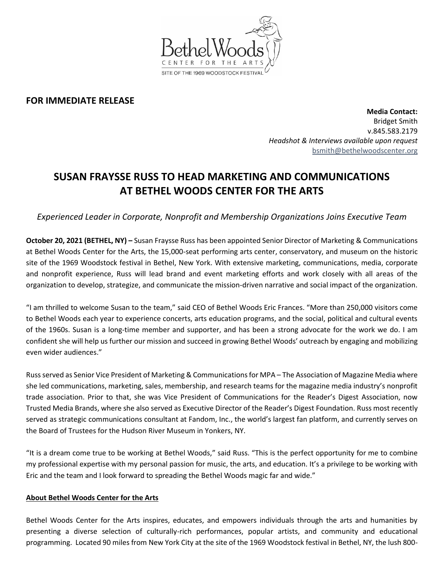

## **FOR IMMEDIATE RELEASE**

**Media Contact:**  Bridget Smith v.845.583.2179 *Headshot & Interviews available upon request* [bsmith@bethelwoodscenter.org](mailto:bsmith@bethelwoodscenter.org)

## **SUSAN FRAYSSE RUSS TO HEAD MARKETING AND COMMUNICATIONS AT BETHEL WOODS CENTER FOR THE ARTS**

*Experienced Leader in Corporate, Nonprofit and Membership Organizations Joins Executive Team*

**October 20, 2021 (BETHEL, NY) –** Susan Fraysse Russ has been appointed Senior Director of Marketing & Communications at Bethel Woods Center for the Arts, the 15,000-seat performing arts center, conservatory, and museum on the historic site of the 1969 Woodstock festival in Bethel, New York. With extensive marketing, communications, media, corporate and nonprofit experience, Russ will lead brand and event marketing efforts and work closely with all areas of the organization to develop, strategize, and communicate the mission-driven narrative and social impact of the organization.

"I am thrilled to welcome Susan to the team," said CEO of Bethel Woods Eric Frances. "More than 250,000 visitors come to Bethel Woods each year to experience concerts, arts education programs, and the social, political and cultural events of the 1960s. Susan is a long-time member and supporter, and has been a strong advocate for the work we do. I am confident she will help us further our mission and succeed in growing Bethel Woods' outreach by engaging and mobilizing even wider audiences."

Russ served as Senior Vice President of Marketing & Communications for MPA – The Association of Magazine Media where she led communications, marketing, sales, membership, and research teams for the magazine media industry's nonprofit trade association. Prior to that, she was Vice President of Communications for the Reader's Digest Association, now Trusted Media Brands, where she also served as Executive Director of the Reader's Digest Foundation. Russ most recently served as strategic communications consultant at Fandom, Inc., the world's largest fan platform, and currently serves on the Board of Trustees for the Hudson River Museum in Yonkers, NY.

"It is a dream come true to be working at Bethel Woods," said Russ. "This is the perfect opportunity for me to combine my professional expertise with my personal passion for music, the arts, and education. It's a privilege to be working with Eric and the team and I look forward to spreading the Bethel Woods magic far and wide."

## **About Bethel Woods Center for the Arts**

Bethel Woods Center for the Arts inspires, educates, and empowers individuals through the arts and humanities by presenting a diverse selection of culturally-rich performances, popular artists, and community and educational programming. Located 90 miles from New York City at the site of the 1969 Woodstock festival in Bethel, NY, the lush 800